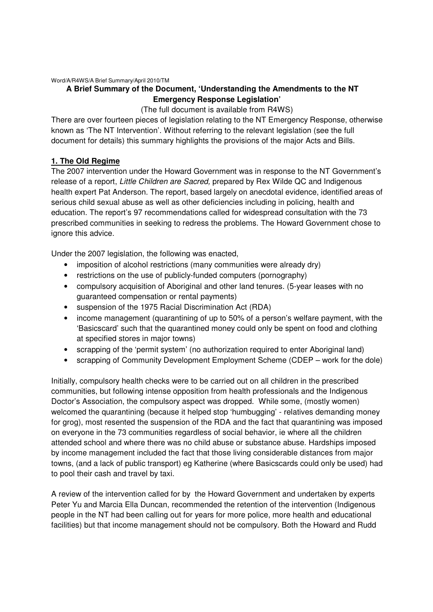Word/A/R4WS/A Brief Summary/April 2010/TM

## **A Brief Summary of the Document, 'Understanding the Amendments to the NT Emergency Response Legislation'**

(The full document is available from R4WS)

There are over fourteen pieces of legislation relating to the NT Emergency Response, otherwise known as 'The NT Intervention'. Without referring to the relevant legislation (see the full document for details) this summary highlights the provisions of the major Acts and Bills.

## **1. The Old Regime**

The 2007 intervention under the Howard Government was in response to the NT Government's release of a report, Little Children are Sacred, prepared by Rex Wilde QC and Indigenous health expert Pat Anderson. The report, based largely on anecdotal evidence, identified areas of serious child sexual abuse as well as other deficiencies including in policing, health and education. The report's 97 recommendations called for widespread consultation with the 73 prescribed communities in seeking to redress the problems. The Howard Government chose to ignore this advice.

Under the 2007 legislation, the following was enacted,

- imposition of alcohol restrictions (many communities were already dry)
- restrictions on the use of publicly-funded computers (pornography)
- compulsory acquisition of Aboriginal and other land tenures. (5-year leases with no guaranteed compensation or rental payments)
- suspension of the 1975 Racial Discrimination Act (RDA)
- income management (quarantining of up to 50% of a person's welfare payment, with the 'Basicscard' such that the quarantined money could only be spent on food and clothing at specified stores in major towns)
- scrapping of the 'permit system' (no authorization required to enter Aboriginal land)
- scrapping of Community Development Employment Scheme (CDEP work for the dole)

Initially, compulsory health checks were to be carried out on all children in the prescribed communities, but following intense opposition from health professionals and the Indigenous Doctor's Association, the compulsory aspect was dropped. While some, (mostly women) welcomed the quarantining (because it helped stop 'humbugging' - relatives demanding money for grog), most resented the suspension of the RDA and the fact that quarantining was imposed on everyone in the 73 communities regardless of social behavior, ie where all the children attended school and where there was no child abuse or substance abuse. Hardships imposed by income management included the fact that those living considerable distances from major towns, (and a lack of public transport) eg Katherine (where Basicscards could only be used) had to pool their cash and travel by taxi.

A review of the intervention called for by the Howard Government and undertaken by experts Peter Yu and Marcia Ella Duncan, recommended the retention of the intervention (Indigenous people in the NT had been calling out for years for more police, more health and educational facilities) but that income management should not be compulsory. Both the Howard and Rudd